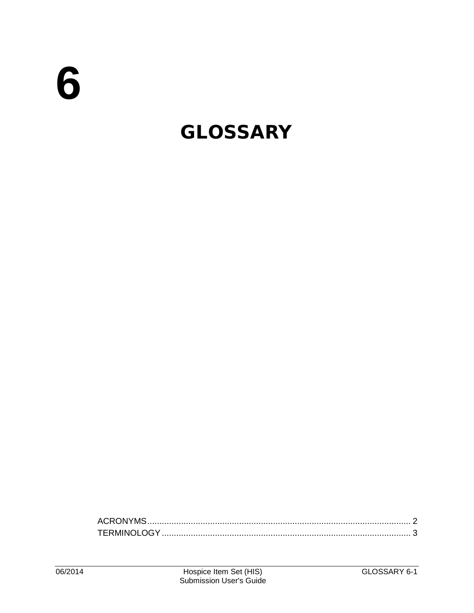## **GLOSSARY**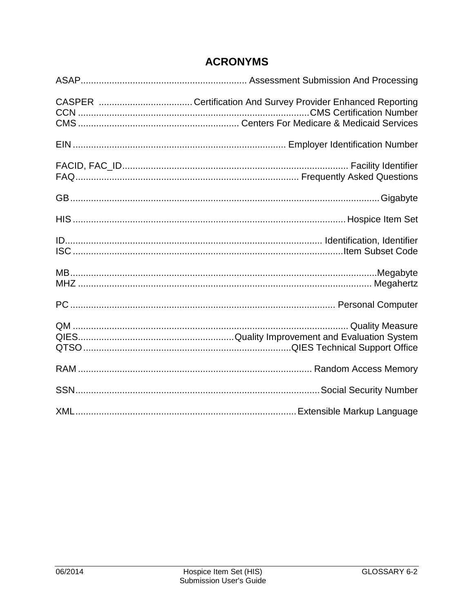## **ACRONYMS**

<span id="page-1-0"></span>